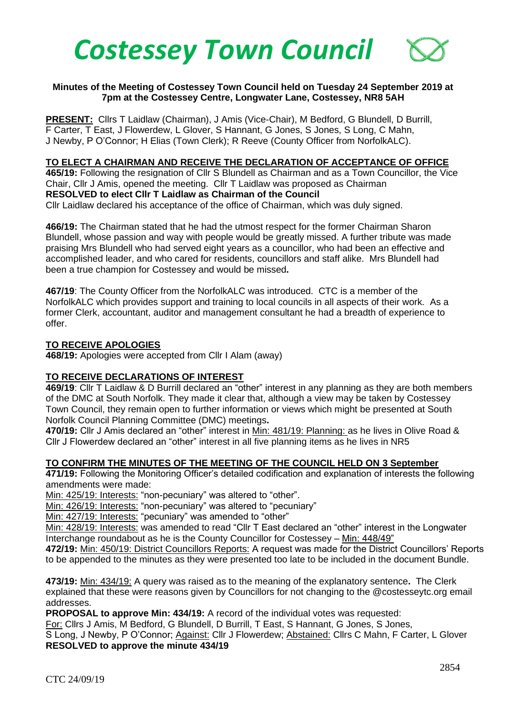

## **Minutes of the Meeting of Costessey Town Council held on Tuesday 24 September 2019 at 7pm at the Costessey Centre, Longwater Lane, Costessey, NR8 5AH**

**PRESENT:** Cllrs T Laidlaw (Chairman), J Amis (Vice-Chair), M Bedford, G Blundell, D Burrill, F Carter, T East, J Flowerdew, L Glover, S Hannant, G Jones, S Jones, S Long, C Mahn, J Newby, P O'Connor; H Elias (Town Clerk); R Reeve (County Officer from NorfolkALC).

#### **TO ELECT A CHAIRMAN AND RECEIVE THE DECLARATION OF ACCEPTANCE OF OFFICE**

**465/19:** Following the resignation of Cllr S Blundell as Chairman and as a Town Councillor, the Vice Chair, Cllr J Amis, opened the meeting. Cllr T Laidlaw was proposed as Chairman **RESOLVED to elect Cllr T Laidlaw as Chairman of the Council** 

Cllr Laidlaw declared his acceptance of the office of Chairman, which was duly signed.

**466/19:** The Chairman stated that he had the utmost respect for the former Chairman Sharon Blundell, whose passion and way with people would be greatly missed. A further tribute was made praising Mrs Blundell who had served eight years as a councillor, who had been an effective and accomplished leader, and who cared for residents, councillors and staff alike. Mrs Blundell had been a true champion for Costessey and would be missed**.**

**467/19**: The County Officer from the NorfolkALC was introduced. CTC is a member of the NorfolkALC which provides support and training to local councils in all aspects of their work. As a former Clerk, accountant, auditor and management consultant he had a breadth of experience to offer.

#### **TO RECEIVE APOLOGIES**

**468/19:** Apologies were accepted from Cllr I Alam (away)

#### **TO RECEIVE DECLARATIONS OF INTEREST**

**469/19**: Cllr T Laidlaw & D Burrill declared an "other" interest in any planning as they are both members of the DMC at South Norfolk. They made it clear that, although a view may be taken by Costessey Town Council, they remain open to further information or views which might be presented at South Norfolk Council Planning Committee (DMC) meetings**.**

**470/19:** Cllr J Amis declared an "other" interest in Min: 481/19: Planning: as he lives in Olive Road & Cllr J Flowerdew declared an "other" interest in all five planning items as he lives in NR5

#### **TO CONFIRM THE MINUTES OF THE MEETING OF THE COUNCIL HELD ON 3 September**

**471/19:** Following the Monitoring Officer's detailed codification and explanation of interests the following amendments were made:

Min: 425/19: Interests: "non-pecuniary" was altered to "other".

Min: 426/19: Interests: "non-pecuniary" was altered to "pecuniary"

Min: 427/19: Interests: "pecuniary" was amended to "other"

Min: 428/19: Interests: was amended to read "Cllr T East declared an "other" interest in the Longwater Interchange roundabout as he is the County Councillor for Costessey – Min: 448/49"

**472/19:** Min: 450/19: District Councillors Reports: A request was made for the District Councillors' Reports to be appended to the minutes as they were presented too late to be included in the document Bundle.

**473/19:** Min: 434/19: A query was raised as to the meaning of the explanatory sentence**.** The Clerk explained that these were reasons given by Councillors for not changing to the @costesseytc.org email addresses.

**PROPOSAL to approve Min: 434/19:** A record of the individual votes was requested:

For: Cllrs J Amis, M Bedford, G Blundell, D Burrill, T East, S Hannant, G Jones, S Jones,

S Long, J Newby, P O'Connor; Against: Cllr J Flowerdew; Abstained: Cllrs C Mahn, F Carter, L Glover **RESOLVED to approve the minute 434/19**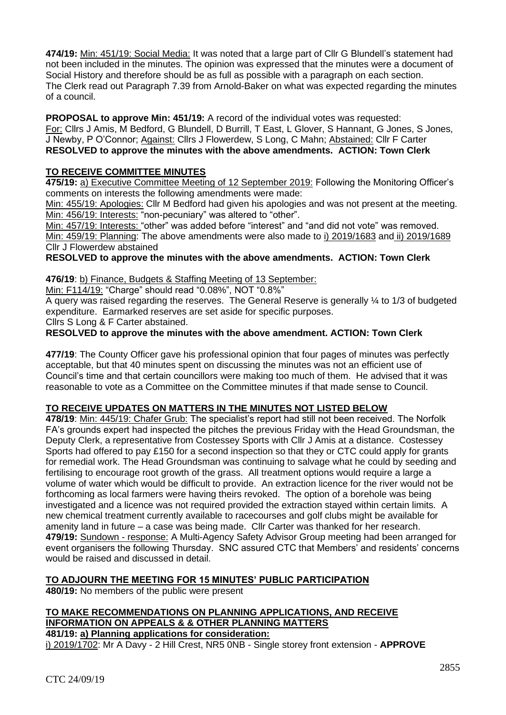**474/19:** Min: 451/19: Social Media: It was noted that a large part of Cllr G Blundell's statement had not been included in the minutes. The opinion was expressed that the minutes were a document of Social History and therefore should be as full as possible with a paragraph on each section. The Clerk read out Paragraph 7.39 from Arnold-Baker on what was expected regarding the minutes of a council.

**PROPOSAL to approve Min: 451/19:** A record of the individual votes was requested:

For: Cllrs J Amis, M Bedford, G Blundell, D Burrill, T East, L Glover, S Hannant, G Jones, S Jones, J Newby, P O'Connor; Against: Cllrs J Flowerdew, S Long, C Mahn; Abstained: Cllr F Carter **RESOLVED to approve the minutes with the above amendments. ACTION: Town Clerk**

# **TO RECEIVE COMMITTEE MINUTES**

**475/19:** a) Executive Committee Meeting of 12 September 2019: Following the Monitoring Officer's comments on interests the following amendments were made:

Min: 455/19: Apologies: Cllr M Bedford had given his apologies and was not present at the meeting. Min: 456/19: Interests: "non-pecuniary" was altered to "other".

Min: 457/19: Interests: "other" was added before "interest" and "and did not vote" was removed. Min: 459/19: Planning: The above amendments were also made to i) 2019/1683 and ii) 2019/1689 Cllr J Flowerdew abstained

**RESOLVED to approve the minutes with the above amendments. ACTION: Town Clerk**

## **476/19**: b) Finance, Budgets & Staffing Meeting of 13 September:

Min: F114/19: "Charge" should read "0.08%", NOT "0.8%"

A query was raised regarding the reserves. The General Reserve is generally ¼ to 1/3 of budgeted expenditure. Earmarked reserves are set aside for specific purposes.

Cllrs S Long & F Carter abstained.

**RESOLVED to approve the minutes with the above amendment. ACTION: Town Clerk**

**477/19**: The County Officer gave his professional opinion that four pages of minutes was perfectly acceptable, but that 40 minutes spent on discussing the minutes was not an efficient use of Council's time and that certain councillors were making too much of them. He advised that it was reasonable to vote as a Committee on the Committee minutes if that made sense to Council.

## **TO RECEIVE UPDATES ON MATTERS IN THE MINUTES NOT LISTED BELOW**

**478/19**: Min: 445/19: Chafer Grub: The specialist's report had still not been received. The Norfolk FA's grounds expert had inspected the pitches the previous Friday with the Head Groundsman, the Deputy Clerk, a representative from Costessey Sports with Cllr J Amis at a distance. Costessey Sports had offered to pay £150 for a second inspection so that they or CTC could apply for grants for remedial work. The Head Groundsman was continuing to salvage what he could by seeding and fertilising to encourage root growth of the grass. All treatment options would require a large a volume of water which would be difficult to provide. An extraction licence for the river would not be forthcoming as local farmers were having theirs revoked. The option of a borehole was being investigated and a licence was not required provided the extraction stayed within certain limits. A new chemical treatment currently available to racecourses and golf clubs might be available for amenity land in future – a case was being made. Cllr Carter was thanked for her research. **479/19:** Sundown - response: A Multi-Agency Safety Advisor Group meeting had been arranged for event organisers the following Thursday. SNC assured CTC that Members' and residents' concerns would be raised and discussed in detail.

# **TO ADJOURN THE MEETING FOR 15 MINUTES' PUBLIC PARTICIPATION**

**480/19:** No members of the public were present

## **TO MAKE RECOMMENDATIONS ON PLANNING APPLICATIONS, AND RECEIVE INFORMATION ON APPEALS & & OTHER PLANNING MATTERS 481/19: a) Planning applications for consideration:**

i) 2019/1702: Mr A Davy - 2 Hill Crest, NR5 0NB - Single storey front extension - **APPROVE**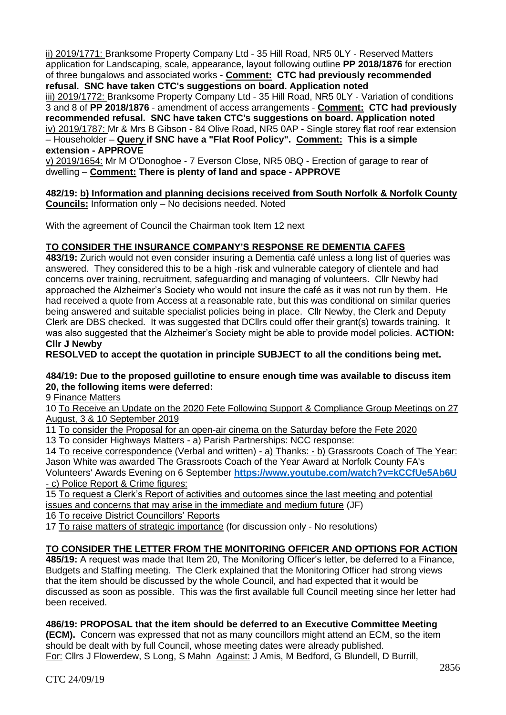ii) 2019/1771: Branksome Property Company Ltd - 35 Hill Road, NR5 0LY - Reserved Matters application for Landscaping, scale, appearance, layout following outline **PP 2018/1876** for erection of three bungalows and associated works - **Comment: CTC had previously recommended refusal. SNC have taken CTC's suggestions on board. Application noted**

iii) 2019/1772: Branksome Property Company Ltd - 35 Hill Road, NR5 0LY - Variation of conditions 3 and 8 of **PP 2018/1876** - amendment of access arrangements - **Comment: CTC had previously recommended refusal. SNC have taken CTC's suggestions on board. Application noted** iv) 2019/1787: Mr & Mrs B Gibson - 84 Olive Road, NR5 0AP - Single storey flat roof rear extension – Householder – **Query if SNC have a "Flat Roof Policy". Comment: This is a simple extension - APPROVE**

v) 2019/1654: Mr M O'Donoghoe - 7 Everson Close, NR5 0BQ - Erection of garage to rear of dwelling – **Comment: There is plenty of land and space - APPROVE**

**482/19: b) Information and planning decisions received from South Norfolk & Norfolk County Councils:** Information only – No decisions needed. Noted

With the agreement of Council the Chairman took Item 12 next

# **TO CONSIDER THE INSURANCE COMPANY'S RESPONSE RE DEMENTIA CAFES**

**483/19:** Zurich would not even consider insuring a Dementia café unless a long list of queries was answered. They considered this to be a high -risk and vulnerable category of clientele and had concerns over training, recruitment, safeguarding and managing of volunteers. Cllr Newby had approached the Alzheimer's Society who would not insure the café as it was not run by them. He had received a quote from Access at a reasonable rate, but this was conditional on similar queries being answered and suitable specialist policies being in place. Cllr Newby, the Clerk and Deputy Clerk are DBS checked. It was suggested that DCIIrs could offer their grant(s) towards training. It was also suggested that the Alzheimer's Society might be able to provide model policies. **ACTION: Cllr J Newby**

**RESOLVED to accept the quotation in principle SUBJECT to all the conditions being met.**

#### **484/19: Due to the proposed guillotine to ensure enough time was available to discuss item 20, the following items were deferred:**

9 Finance Matters

10 To Receive an Update on the 2020 Fete Following Support & Compliance Group Meetings on 27 August, 3 & 10 September 2019

11 To consider the Proposal for an open-air cinema on the Saturday before the Fete 2020

13 To consider Highways Matters - a) Parish Partnerships: NCC response:

14 To receive correspondence (Verbal and written) - a) Thanks: - b) Grassroots Coach of The Year: Jason White was awarded The Grassroots Coach of the Year Award at Norfolk County FA's Volunteers' Awards Evening on 6 September **<https://www.youtube.com/watch?v=kCCfUe5Ab6U>** - c) Police Report & Crime figures:

15 To request a Clerk's Report of activities and outcomes since the last meeting and potential issues and concerns that may arise in the immediate and medium future (JF)

16 To receive District Councillors' Reports

17 To raise matters of strategic importance (for discussion only - No resolutions)

## **TO CONSIDER THE LETTER FROM THE MONITORING OFFICER AND OPTIONS FOR ACTION**

**485/19:** A request was made that Item 20, The Monitoring Officer's letter, be deferred to a Finance, Budgets and Staffing meeting. The Clerk explained that the Monitoring Officer had strong views that the item should be discussed by the whole Council, and had expected that it would be discussed as soon as possible. This was the first available full Council meeting since her letter had been received.

#### **486/19: PROPOSAL that the item should be deferred to an Executive Committee Meeting**

**(ECM).** Concern was expressed that not as many councillors might attend an ECM, so the item should be dealt with by full Council, whose meeting dates were already published. For: Cllrs J Flowerdew, S Long, S Mahn Against: J Amis, M Bedford, G Blundell, D Burrill,